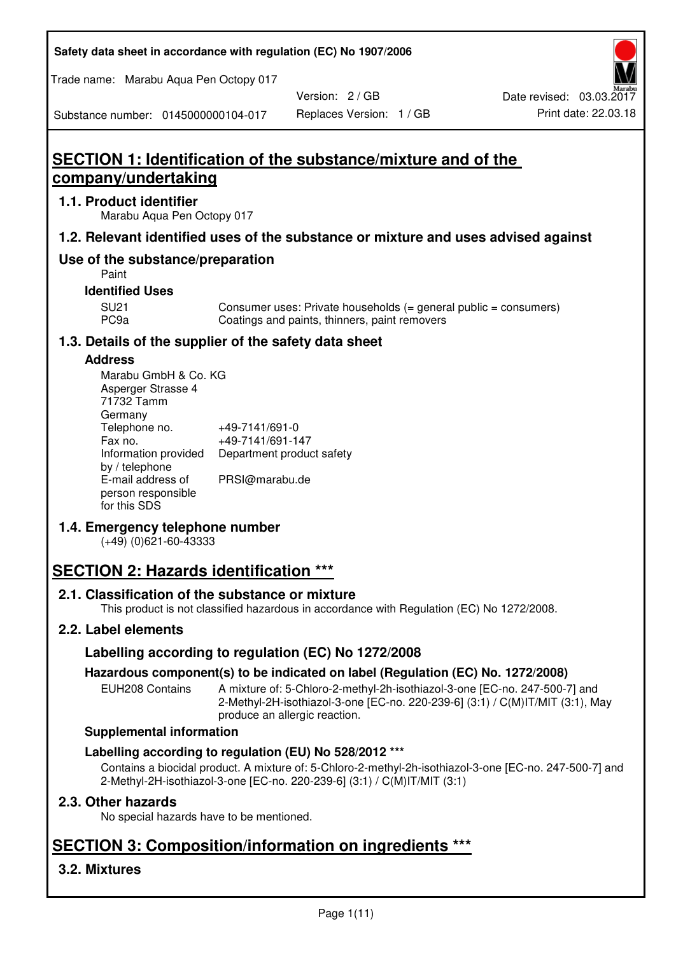**Safety data sheet in accordance with regulation (EC) No 1907/2006** 

Trade name: Marabu Aqua Pen Octopy 017

Version: 2 / GB

Substance number: 0145000000104-017

# **SECTION 1: Identification of the substance/mixture and of the company/undertaking**

## **1.1. Product identifier**

Marabu Aqua Pen Octopy 017

## **1.2. Relevant identified uses of the substance or mixture and uses advised against**

## **Use of the substance/preparation**

Paint

## **Identified Uses**

SU21 Consumer uses: Private households (= general public = consumers)<br>PC9a Coatings and paints, thinners, paint removers Coatings and paints, thinners, paint removers

## **1.3. Details of the supplier of the safety data sheet**

#### **Address**

| Marabu GmbH & Co. KG |                           |
|----------------------|---------------------------|
| Asperger Strasse 4   |                           |
| 71732 Tamm           |                           |
| Germany              |                           |
| Telephone no.        | +49-7141/691-0            |
| Fax no.              | +49-7141/691-147          |
| Information provided | Department product safety |
| by / telephone       |                           |
| E-mail address of    | PRSI@marabu.de            |
| person responsible   |                           |
| for this SDS         |                           |

## **1.4. Emergency telephone number**

(+49) (0)621-60-43333

# **SECTION 2: Hazards identification \*\*\***

## **2.1. Classification of the substance or mixture**

This product is not classified hazardous in accordance with Regulation (EC) No 1272/2008.

## **2.2. Label elements**

## **Labelling according to regulation (EC) No 1272/2008**

## **Hazardous component(s) to be indicated on label (Regulation (EC) No. 1272/2008)**

EUH208 Contains A mixture of: 5-Chloro-2-methyl-2h-isothiazol-3-one [EC-no. 247-500-7] and 2-Methyl-2H-isothiazol-3-one [EC-no. 220-239-6] (3:1) / C(M)IT/MIT (3:1), May produce an allergic reaction.

#### **Supplemental information**

## **Labelling according to regulation (EU) No 528/2012 \*\*\***

Contains a biocidal product. A mixture of: 5-Chloro-2-methyl-2h-isothiazol-3-one [EC-no. 247-500-7] and 2-Methyl-2H-isothiazol-3-one [EC-no. 220-239-6] (3:1) / C(M)IT/MIT (3:1)

## **2.3. Other hazards**

No special hazards have to be mentioned.

# **SECTION 3: Composition/information on ingredients \*\*\***

## **3.2. Mixtures**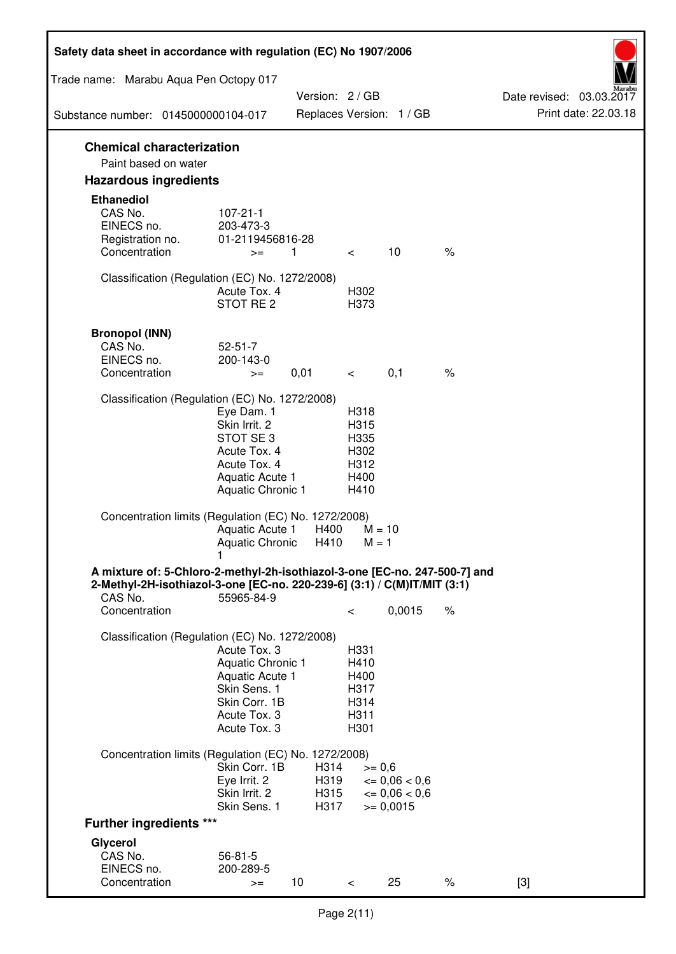| Safety data sheet in accordance with regulation (EC) No 1907/2006                                                                                                 |                                                                                                                       |                      |                                                      |                                                    |      |                                                  |
|-------------------------------------------------------------------------------------------------------------------------------------------------------------------|-----------------------------------------------------------------------------------------------------------------------|----------------------|------------------------------------------------------|----------------------------------------------------|------|--------------------------------------------------|
| Trade name: Marabu Aqua Pen Octopy 017                                                                                                                            |                                                                                                                       |                      |                                                      |                                                    |      |                                                  |
|                                                                                                                                                                   |                                                                                                                       | Version: 2 / GB      |                                                      | Replaces Version: 1 / GB                           |      | Date revised: 03.03.2017<br>Print date: 22.03.18 |
| Substance number: 0145000000104-017                                                                                                                               |                                                                                                                       |                      |                                                      |                                                    |      |                                                  |
| <b>Chemical characterization</b><br>Paint based on water                                                                                                          |                                                                                                                       |                      |                                                      |                                                    |      |                                                  |
| <b>Hazardous ingredients</b>                                                                                                                                      |                                                                                                                       |                      |                                                      |                                                    |      |                                                  |
| <b>Ethanediol</b><br>CAS No.<br>EINECS no.<br>Registration no.<br>Concentration                                                                                   | $107 - 21 - 1$<br>203-473-3<br>01-2119456816-28<br>$>=$                                                               | $\mathbf{1}$         | $\lt$                                                | 10                                                 | $\%$ |                                                  |
| Classification (Regulation (EC) No. 1272/2008)                                                                                                                    | Acute Tox. 4<br>STOT RE <sub>2</sub>                                                                                  |                      | H302<br>H373                                         |                                                    |      |                                                  |
| <b>Bronopol (INN)</b><br>CAS No.<br>EINECS no.<br>Concentration                                                                                                   | $52 - 51 - 7$<br>200-143-0<br>$>=$                                                                                    | 0,01                 | $\,<\,$                                              | 0,1                                                | $\%$ |                                                  |
| Classification (Regulation (EC) No. 1272/2008)                                                                                                                    |                                                                                                                       |                      |                                                      |                                                    |      |                                                  |
|                                                                                                                                                                   | Eye Dam. 1<br>Skin Irrit. 2<br>STOT SE 3<br>Acute Tox. 4<br>Acute Tox. 4<br>Aquatic Acute 1<br>Aquatic Chronic 1      |                      | H318<br>H315<br>H335<br>H302<br>H312<br>H400<br>H410 |                                                    |      |                                                  |
| Concentration limits (Regulation (EC) No. 1272/2008)                                                                                                              | Aquatic Acute 1<br>Aquatic Chronic                                                                                    | H400<br>H410         | $M = 1$                                              | $M = 10$                                           |      |                                                  |
| A mixture of: 5-Chloro-2-methyl-2h-isothiazol-3-one [EC-no. 247-500-7] and<br>2-Methyl-2H-isothiazol-3-one [EC-no. 220-239-6] (3:1) / C(M)IT/MIT (3:1)<br>CAS No. | 55965-84-9                                                                                                            |                      |                                                      |                                                    |      |                                                  |
| Concentration                                                                                                                                                     |                                                                                                                       |                      | $\,<\,$                                              | 0,0015                                             | $\%$ |                                                  |
| Classification (Regulation (EC) No. 1272/2008)                                                                                                                    | Acute Tox, 3<br>Aquatic Chronic 1<br>Aquatic Acute 1<br>Skin Sens. 1<br>Skin Corr. 1B<br>Acute Tox. 3<br>Acute Tox. 3 |                      | H331<br>H410<br>H400<br>H317<br>H314<br>H311<br>H301 |                                                    |      |                                                  |
| Concentration limits (Regulation (EC) No. 1272/2008)                                                                                                              | Skin Corr. 1B<br>Eye Irrit. 2<br>Skin Irrit. 2                                                                        | H314<br>H319<br>H315 | $>= 0,6$                                             | $\epsilon = 0.06 < 0.6$<br>$\epsilon = 0.06 < 0.6$ |      |                                                  |
| <b>Further ingredients ***</b>                                                                                                                                    | Skin Sens. 1                                                                                                          | H317                 |                                                      | $= 0,0015$                                         |      |                                                  |
| Glycerol                                                                                                                                                          |                                                                                                                       |                      |                                                      |                                                    |      |                                                  |
| CAS No.<br>EINECS no.<br>Concentration                                                                                                                            | $56 - 81 - 5$<br>200-289-5<br>$>=$                                                                                    | 10                   | $\,<\,$                                              | 25                                                 | $\%$ | $[3]$                                            |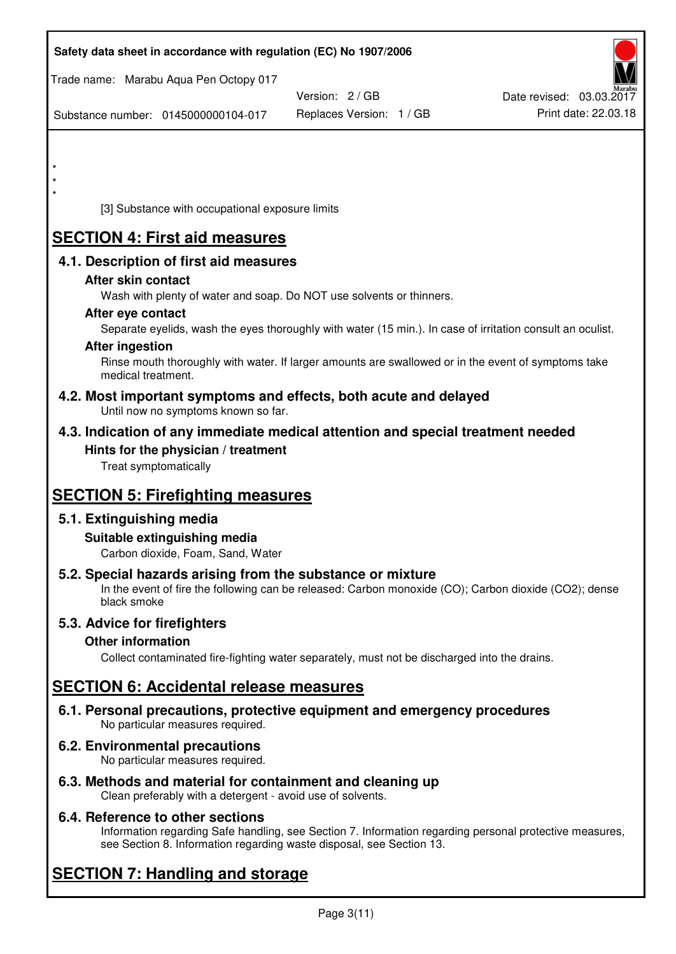| Safety data sheet in accordance with regulation (EC) No 1907/2006                                                                                                                  |                          |                          |
|------------------------------------------------------------------------------------------------------------------------------------------------------------------------------------|--------------------------|--------------------------|
| Trade name: Marabu Aqua Pen Octopy 017                                                                                                                                             |                          |                          |
|                                                                                                                                                                                    | Version: 2 / GB          | Date revised: 03.03.2017 |
| Substance number: 0145000000104-017                                                                                                                                                | Replaces Version: 1 / GB | Print date: 22.03.18     |
|                                                                                                                                                                                    |                          |                          |
| $\star$                                                                                                                                                                            |                          |                          |
| $\star$                                                                                                                                                                            |                          |                          |
| [3] Substance with occupational exposure limits                                                                                                                                    |                          |                          |
| <b>SECTION 4: First aid measures</b>                                                                                                                                               |                          |                          |
| 4.1. Description of first aid measures                                                                                                                                             |                          |                          |
| After skin contact                                                                                                                                                                 |                          |                          |
| Wash with plenty of water and soap. Do NOT use solvents or thinners.                                                                                                               |                          |                          |
| After eye contact                                                                                                                                                                  |                          |                          |
| Separate eyelids, wash the eyes thoroughly with water (15 min.). In case of irritation consult an oculist.<br><b>After ingestion</b>                                               |                          |                          |
| Rinse mouth thoroughly with water. If larger amounts are swallowed or in the event of symptoms take<br>medical treatment.                                                          |                          |                          |
| 4.2. Most important symptoms and effects, both acute and delayed<br>Until now no symptoms known so far.                                                                            |                          |                          |
| 4.3. Indication of any immediate medical attention and special treatment needed                                                                                                    |                          |                          |
| Hints for the physician / treatment                                                                                                                                                |                          |                          |
| Treat symptomatically                                                                                                                                                              |                          |                          |
| <b>SECTION 5: Firefighting measures</b>                                                                                                                                            |                          |                          |
| 5.1. Extinguishing media                                                                                                                                                           |                          |                          |
| Suitable extinguishing media<br>Carbon dioxide, Foam, Sand, Water                                                                                                                  |                          |                          |
| 5.2. Special hazards arising from the substance or mixture<br>In the event of fire the following can be released: Carbon monoxide (CO); Carbon dioxide (CO2); dense<br>black smoke |                          |                          |
| 5.3. Advice for firefighters                                                                                                                                                       |                          |                          |
| <b>Other information</b>                                                                                                                                                           |                          |                          |
| Collect contaminated fire-fighting water separately, must not be discharged into the drains.                                                                                       |                          |                          |
| <b>SECTION 6: Accidental release measures</b>                                                                                                                                      |                          |                          |
| 6.1. Personal precautions, protective equipment and emergency procedures<br>No particular measures required.                                                                       |                          |                          |
| 6.2. Environmental precautions<br>No particular measures required.                                                                                                                 |                          |                          |
| 6.3 Mathode and material for containment and classing up                                                                                                                           |                          |                          |

**6.3. Methods and material for containment and cleaning up**  Clean preferably with a detergent - avoid use of solvents.

## **6.4. Reference to other sections**

Information regarding Safe handling, see Section 7. Information regarding personal protective measures, see Section 8. Information regarding waste disposal, see Section 13.

# **SECTION 7: Handling and storage**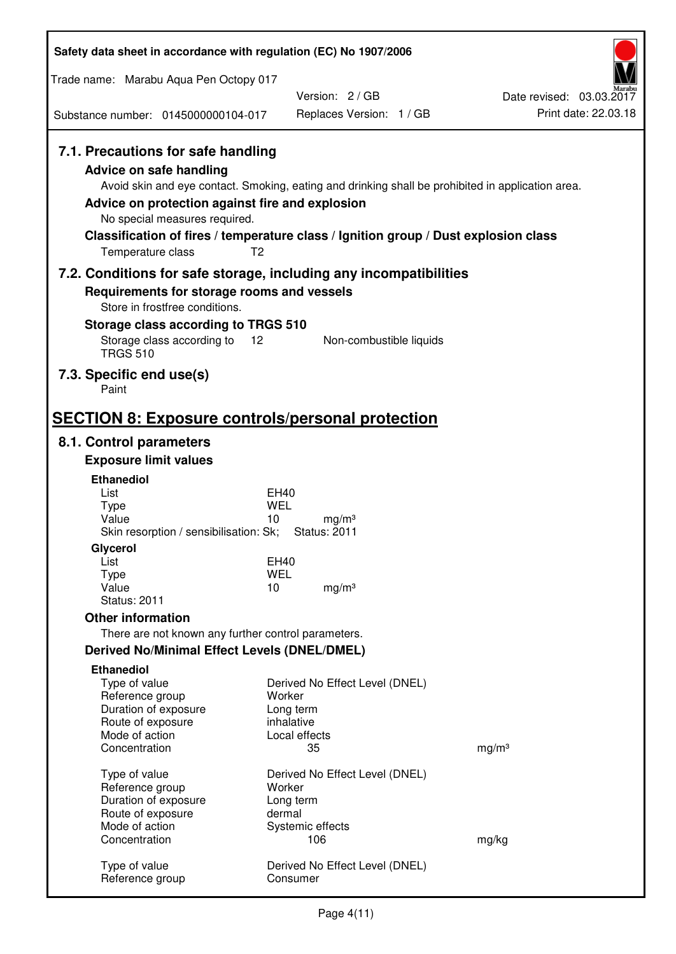| Safety data sheet in accordance with regulation (EC) No 1907/2006                                                                                                                               |                                                                                                                                                                                          |                                                  |  |
|-------------------------------------------------------------------------------------------------------------------------------------------------------------------------------------------------|------------------------------------------------------------------------------------------------------------------------------------------------------------------------------------------|--------------------------------------------------|--|
| Trade name: Marabu Aqua Pen Octopy 017                                                                                                                                                          |                                                                                                                                                                                          |                                                  |  |
| Substance number: 0145000000104-017                                                                                                                                                             | Version: 2/GB<br>Replaces Version: 1 / GB                                                                                                                                                | Date revised: 03.03.2017<br>Print date: 22.03.18 |  |
|                                                                                                                                                                                                 |                                                                                                                                                                                          |                                                  |  |
| 7.1. Precautions for safe handling<br><b>Advice on safe handling</b><br>Advice on protection against fire and explosion<br>No special measures required.<br>T <sub>2</sub><br>Temperature class | Avoid skin and eye contact. Smoking, eating and drinking shall be prohibited in application area.<br>Classification of fires / temperature class / Ignition group / Dust explosion class |                                                  |  |
|                                                                                                                                                                                                 | 7.2. Conditions for safe storage, including any incompatibilities                                                                                                                        |                                                  |  |
| Requirements for storage rooms and vessels<br>Store in frostfree conditions.                                                                                                                    |                                                                                                                                                                                          |                                                  |  |
| Storage class according to TRGS 510                                                                                                                                                             |                                                                                                                                                                                          |                                                  |  |
| Storage class according to<br>$12 \overline{ }$<br><b>TRGS 510</b>                                                                                                                              | Non-combustible liquids                                                                                                                                                                  |                                                  |  |
| 7.3. Specific end use(s)<br>Paint                                                                                                                                                               |                                                                                                                                                                                          |                                                  |  |
| <b>SECTION 8: Exposure controls/personal protection</b>                                                                                                                                         |                                                                                                                                                                                          |                                                  |  |
| 8.1. Control parameters                                                                                                                                                                         |                                                                                                                                                                                          |                                                  |  |
| <b>Exposure limit values</b>                                                                                                                                                                    |                                                                                                                                                                                          |                                                  |  |
| <b>Ethanediol</b>                                                                                                                                                                               |                                                                                                                                                                                          |                                                  |  |
| List<br>Type                                                                                                                                                                                    | EH40<br><b>WEL</b>                                                                                                                                                                       |                                                  |  |
| Value<br>Skin resorption / sensibilisation: Sk;                                                                                                                                                 | 10<br>mg/m <sup>3</sup><br><b>Status: 2011</b>                                                                                                                                           |                                                  |  |
| Glycerol                                                                                                                                                                                        |                                                                                                                                                                                          |                                                  |  |
| List                                                                                                                                                                                            | EH40                                                                                                                                                                                     |                                                  |  |
| <b>Type</b><br>Value                                                                                                                                                                            | <b>WEL</b><br>10<br>mg/m <sup>3</sup>                                                                                                                                                    |                                                  |  |
| <b>Status: 2011</b>                                                                                                                                                                             |                                                                                                                                                                                          |                                                  |  |
| <b>Other information</b>                                                                                                                                                                        |                                                                                                                                                                                          |                                                  |  |
| There are not known any further control parameters.                                                                                                                                             |                                                                                                                                                                                          |                                                  |  |
| <b>Derived No/Minimal Effect Levels (DNEL/DMEL)</b>                                                                                                                                             |                                                                                                                                                                                          |                                                  |  |
| <b>Ethanediol</b>                                                                                                                                                                               |                                                                                                                                                                                          |                                                  |  |
| Type of value<br>Reference group                                                                                                                                                                | Derived No Effect Level (DNEL)<br>Worker                                                                                                                                                 |                                                  |  |
| Duration of exposure                                                                                                                                                                            | Long term                                                                                                                                                                                |                                                  |  |
| Route of exposure                                                                                                                                                                               | inhalative                                                                                                                                                                               |                                                  |  |
| Mode of action                                                                                                                                                                                  | Local effects                                                                                                                                                                            |                                                  |  |
| Concentration                                                                                                                                                                                   | 35                                                                                                                                                                                       | mg/m <sup>3</sup>                                |  |
| Type of value                                                                                                                                                                                   | Derived No Effect Level (DNEL)                                                                                                                                                           |                                                  |  |
| Reference group<br>Duration of exposure                                                                                                                                                         | Worker<br>Long term                                                                                                                                                                      |                                                  |  |
| Route of exposure                                                                                                                                                                               | dermal                                                                                                                                                                                   |                                                  |  |
| Mode of action                                                                                                                                                                                  | Systemic effects                                                                                                                                                                         |                                                  |  |
| Concentration                                                                                                                                                                                   | 106                                                                                                                                                                                      | mg/kg                                            |  |
| Type of value<br>Reference group                                                                                                                                                                | Derived No Effect Level (DNEL)<br>Consumer                                                                                                                                               |                                                  |  |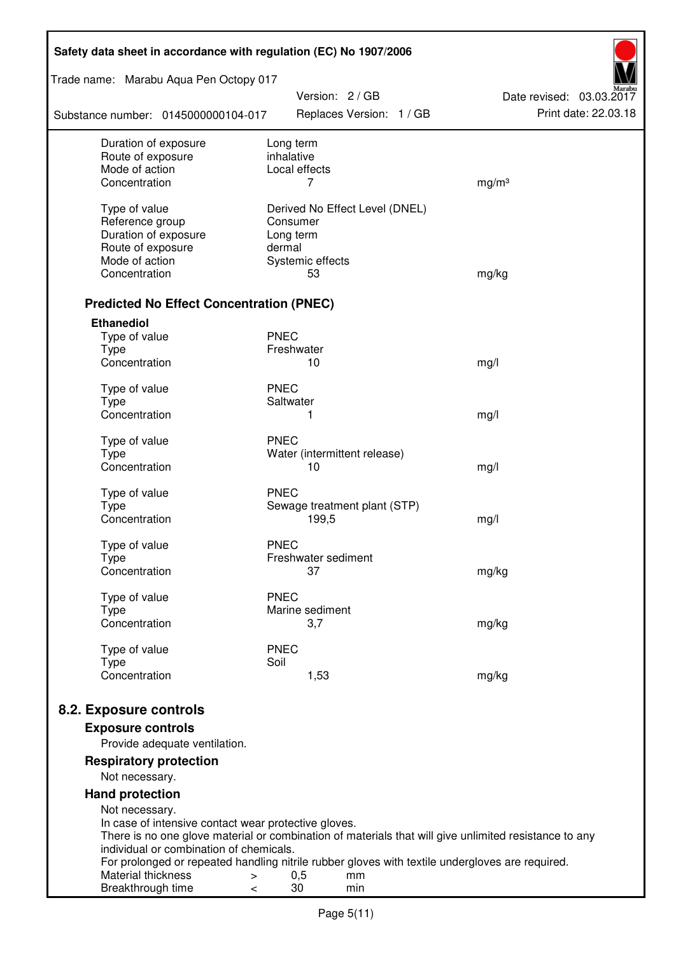| Safety data sheet in accordance with regulation (EC) No 1907/2006 |                                                                                                              |                                                  |  |  |
|-------------------------------------------------------------------|--------------------------------------------------------------------------------------------------------------|--------------------------------------------------|--|--|
| Trade name: Marabu Aqua Pen Octopy 017                            |                                                                                                              |                                                  |  |  |
| Substance number: 0145000000104-017                               | Version: 2 / GB<br>Replaces Version: 1 / GB                                                                  | Date revised: 03.03.2017<br>Print date: 22.03.18 |  |  |
| Duration of exposure                                              | Long term<br>inhalative                                                                                      |                                                  |  |  |
| Route of exposure<br>Mode of action                               | Local effects                                                                                                |                                                  |  |  |
| Concentration                                                     | 7                                                                                                            | mg/m <sup>3</sup>                                |  |  |
|                                                                   |                                                                                                              |                                                  |  |  |
| Type of value<br>Reference group                                  | Derived No Effect Level (DNEL)<br>Consumer                                                                   |                                                  |  |  |
| Duration of exposure                                              | Long term                                                                                                    |                                                  |  |  |
| Route of exposure                                                 | dermal                                                                                                       |                                                  |  |  |
| Mode of action                                                    | Systemic effects                                                                                             |                                                  |  |  |
| Concentration                                                     | 53                                                                                                           | mg/kg                                            |  |  |
| <b>Predicted No Effect Concentration (PNEC)</b>                   |                                                                                                              |                                                  |  |  |
| <b>Ethanediol</b>                                                 |                                                                                                              |                                                  |  |  |
| Type of value                                                     | <b>PNEC</b>                                                                                                  |                                                  |  |  |
| <b>Type</b>                                                       | Freshwater                                                                                                   |                                                  |  |  |
| Concentration                                                     | 10                                                                                                           | mg/l                                             |  |  |
| Type of value                                                     | <b>PNEC</b>                                                                                                  |                                                  |  |  |
| <b>Type</b>                                                       | Saltwater                                                                                                    |                                                  |  |  |
| Concentration                                                     | 1                                                                                                            | mg/l                                             |  |  |
| Type of value                                                     | <b>PNEC</b>                                                                                                  |                                                  |  |  |
| <b>Type</b>                                                       | Water (intermittent release)                                                                                 |                                                  |  |  |
| Concentration                                                     | 10                                                                                                           | mg/l                                             |  |  |
| Type of value                                                     | <b>PNEC</b>                                                                                                  |                                                  |  |  |
| <b>Type</b>                                                       | Sewage treatment plant (STP)                                                                                 |                                                  |  |  |
| Concentration                                                     | 199,5                                                                                                        | mg/l                                             |  |  |
|                                                                   |                                                                                                              |                                                  |  |  |
| Type of value<br>Type                                             | <b>PNEC</b><br>Freshwater sediment                                                                           |                                                  |  |  |
| Concentration                                                     | 37                                                                                                           | mg/kg                                            |  |  |
|                                                                   |                                                                                                              |                                                  |  |  |
| Type of value                                                     | <b>PNEC</b>                                                                                                  |                                                  |  |  |
| Type<br>Concentration                                             | Marine sediment<br>3,7                                                                                       | mg/kg                                            |  |  |
|                                                                   |                                                                                                              |                                                  |  |  |
| Type of value                                                     | <b>PNEC</b>                                                                                                  |                                                  |  |  |
| <b>Type</b><br>Concentration                                      | Soil<br>1,53                                                                                                 | mg/kg                                            |  |  |
|                                                                   |                                                                                                              |                                                  |  |  |
| 8.2. Exposure controls                                            |                                                                                                              |                                                  |  |  |
| <b>Exposure controls</b>                                          |                                                                                                              |                                                  |  |  |
| Provide adequate ventilation.                                     |                                                                                                              |                                                  |  |  |
| <b>Respiratory protection</b><br>Not necessary.                   |                                                                                                              |                                                  |  |  |
| <b>Hand protection</b>                                            |                                                                                                              |                                                  |  |  |
| Not necessary.                                                    |                                                                                                              |                                                  |  |  |
| In case of intensive contact wear protective gloves.              |                                                                                                              |                                                  |  |  |
|                                                                   | There is no one glove material or combination of materials that will give unlimited resistance to any        |                                                  |  |  |
| individual or combination of chemicals.                           |                                                                                                              |                                                  |  |  |
| Material thickness<br>$\, > \,$                                   | For prolonged or repeated handling nitrile rubber gloves with textile undergloves are required.<br>0,5<br>mm |                                                  |  |  |
| Breakthrough time<br>$\,<\,$                                      | 30<br>min                                                                                                    |                                                  |  |  |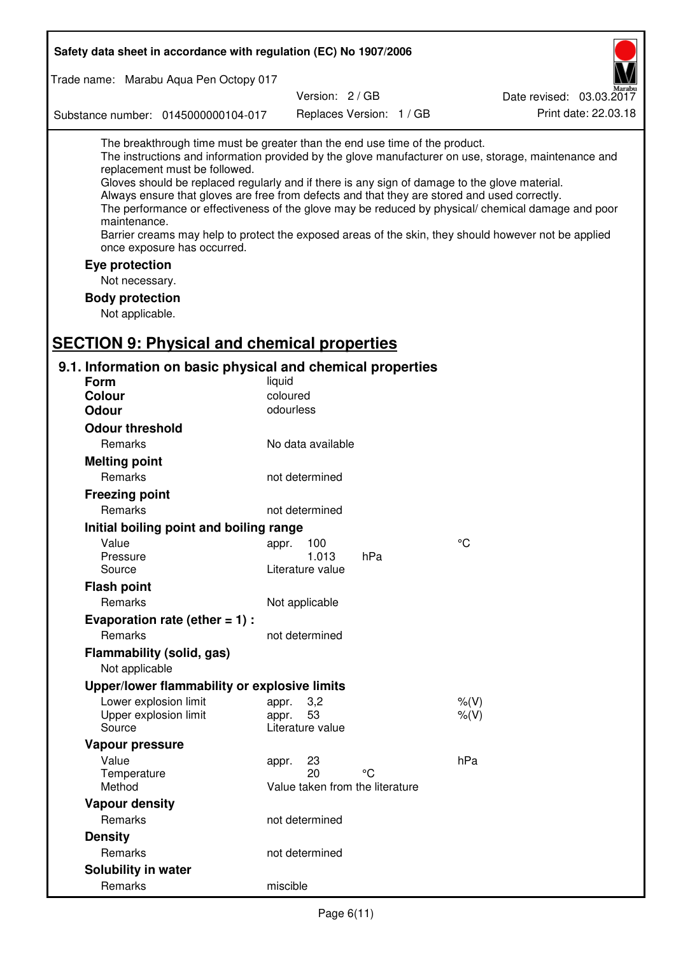| Safety data sheet in accordance with regulation (EC) No 1907/2006                                                                                                                                                                                                                                                                                            |                           |                                       |                                                                                                                                                                                                                                                                                                                    |
|--------------------------------------------------------------------------------------------------------------------------------------------------------------------------------------------------------------------------------------------------------------------------------------------------------------------------------------------------------------|---------------------------|---------------------------------------|--------------------------------------------------------------------------------------------------------------------------------------------------------------------------------------------------------------------------------------------------------------------------------------------------------------------|
| Trade name: Marabu Aqua Pen Octopy 017                                                                                                                                                                                                                                                                                                                       |                           |                                       |                                                                                                                                                                                                                                                                                                                    |
|                                                                                                                                                                                                                                                                                                                                                              |                           | Version: 2 / GB                       | Date revised: 03.03.2017                                                                                                                                                                                                                                                                                           |
| Substance number: 0145000000104-017                                                                                                                                                                                                                                                                                                                          |                           | Replaces Version: 1 / GB              | Print date: 22.03.18                                                                                                                                                                                                                                                                                               |
| The breakthrough time must be greater than the end use time of the product.<br>replacement must be followed.<br>Gloves should be replaced regularly and if there is any sign of damage to the glove material.<br>Always ensure that gloves are free from defects and that they are stored and used correctly.<br>maintenance.<br>once exposure has occurred. |                           |                                       | The instructions and information provided by the glove manufacturer on use, storage, maintenance and<br>The performance or effectiveness of the glove may be reduced by physical/ chemical damage and poor<br>Barrier creams may help to protect the exposed areas of the skin, they should however not be applied |
| Eye protection                                                                                                                                                                                                                                                                                                                                               |                           |                                       |                                                                                                                                                                                                                                                                                                                    |
| Not necessary.                                                                                                                                                                                                                                                                                                                                               |                           |                                       |                                                                                                                                                                                                                                                                                                                    |
| <b>Body protection</b>                                                                                                                                                                                                                                                                                                                                       |                           |                                       |                                                                                                                                                                                                                                                                                                                    |
| Not applicable.                                                                                                                                                                                                                                                                                                                                              |                           |                                       |                                                                                                                                                                                                                                                                                                                    |
|                                                                                                                                                                                                                                                                                                                                                              |                           |                                       |                                                                                                                                                                                                                                                                                                                    |
| <b>SECTION 9: Physical and chemical properties</b>                                                                                                                                                                                                                                                                                                           |                           |                                       |                                                                                                                                                                                                                                                                                                                    |
| 9.1. Information on basic physical and chemical properties                                                                                                                                                                                                                                                                                                   |                           |                                       |                                                                                                                                                                                                                                                                                                                    |
| <b>Form</b>                                                                                                                                                                                                                                                                                                                                                  | liquid                    |                                       |                                                                                                                                                                                                                                                                                                                    |
| <b>Colour</b><br><b>Odour</b>                                                                                                                                                                                                                                                                                                                                | coloured<br>odourless     |                                       |                                                                                                                                                                                                                                                                                                                    |
|                                                                                                                                                                                                                                                                                                                                                              |                           |                                       |                                                                                                                                                                                                                                                                                                                    |
| <b>Odour threshold</b>                                                                                                                                                                                                                                                                                                                                       |                           |                                       |                                                                                                                                                                                                                                                                                                                    |
| Remarks                                                                                                                                                                                                                                                                                                                                                      | No data available         |                                       |                                                                                                                                                                                                                                                                                                                    |
| <b>Melting point</b>                                                                                                                                                                                                                                                                                                                                         |                           |                                       |                                                                                                                                                                                                                                                                                                                    |
| Remarks                                                                                                                                                                                                                                                                                                                                                      | not determined            |                                       |                                                                                                                                                                                                                                                                                                                    |
| <b>Freezing point</b>                                                                                                                                                                                                                                                                                                                                        |                           |                                       |                                                                                                                                                                                                                                                                                                                    |
| Remarks                                                                                                                                                                                                                                                                                                                                                      | not determined            |                                       |                                                                                                                                                                                                                                                                                                                    |
| Initial boiling point and boiling range                                                                                                                                                                                                                                                                                                                      |                           |                                       |                                                                                                                                                                                                                                                                                                                    |
| Value                                                                                                                                                                                                                                                                                                                                                        | appr. 100                 |                                       | $\rm ^{\circ}C$                                                                                                                                                                                                                                                                                                    |
| Pressure<br>Source                                                                                                                                                                                                                                                                                                                                           | 1.013<br>Literature value | hPa                                   |                                                                                                                                                                                                                                                                                                                    |
| <b>Flash point</b>                                                                                                                                                                                                                                                                                                                                           |                           |                                       |                                                                                                                                                                                                                                                                                                                    |
| Remarks                                                                                                                                                                                                                                                                                                                                                      | Not applicable            |                                       |                                                                                                                                                                                                                                                                                                                    |
| Evaporation rate (ether $= 1$ ) :                                                                                                                                                                                                                                                                                                                            |                           |                                       |                                                                                                                                                                                                                                                                                                                    |
| Remarks                                                                                                                                                                                                                                                                                                                                                      | not determined            |                                       |                                                                                                                                                                                                                                                                                                                    |
| Flammability (solid, gas)                                                                                                                                                                                                                                                                                                                                    |                           |                                       |                                                                                                                                                                                                                                                                                                                    |
| Not applicable                                                                                                                                                                                                                                                                                                                                               |                           |                                       |                                                                                                                                                                                                                                                                                                                    |
| Upper/lower flammability or explosive limits                                                                                                                                                                                                                                                                                                                 |                           |                                       |                                                                                                                                                                                                                                                                                                                    |
| Lower explosion limit                                                                                                                                                                                                                                                                                                                                        | 3,2<br>appr.              |                                       | $%$ (V)                                                                                                                                                                                                                                                                                                            |
| Upper explosion limit                                                                                                                                                                                                                                                                                                                                        | 53<br>appr.               |                                       | $%$ (V)                                                                                                                                                                                                                                                                                                            |
| Source                                                                                                                                                                                                                                                                                                                                                       | Literature value          |                                       |                                                                                                                                                                                                                                                                                                                    |
| Vapour pressure                                                                                                                                                                                                                                                                                                                                              |                           |                                       |                                                                                                                                                                                                                                                                                                                    |
| Value                                                                                                                                                                                                                                                                                                                                                        | 23<br>appr.               |                                       | hPa                                                                                                                                                                                                                                                                                                                |
| Temperature<br>Method                                                                                                                                                                                                                                                                                                                                        | 20                        | °C<br>Value taken from the literature |                                                                                                                                                                                                                                                                                                                    |
|                                                                                                                                                                                                                                                                                                                                                              |                           |                                       |                                                                                                                                                                                                                                                                                                                    |
| <b>Vapour density</b><br>Remarks                                                                                                                                                                                                                                                                                                                             | not determined            |                                       |                                                                                                                                                                                                                                                                                                                    |
|                                                                                                                                                                                                                                                                                                                                                              |                           |                                       |                                                                                                                                                                                                                                                                                                                    |
| <b>Density</b>                                                                                                                                                                                                                                                                                                                                               |                           |                                       |                                                                                                                                                                                                                                                                                                                    |
| Remarks                                                                                                                                                                                                                                                                                                                                                      | not determined            |                                       |                                                                                                                                                                                                                                                                                                                    |
| Solubility in water                                                                                                                                                                                                                                                                                                                                          |                           |                                       |                                                                                                                                                                                                                                                                                                                    |
| Remarks                                                                                                                                                                                                                                                                                                                                                      | miscible                  |                                       |                                                                                                                                                                                                                                                                                                                    |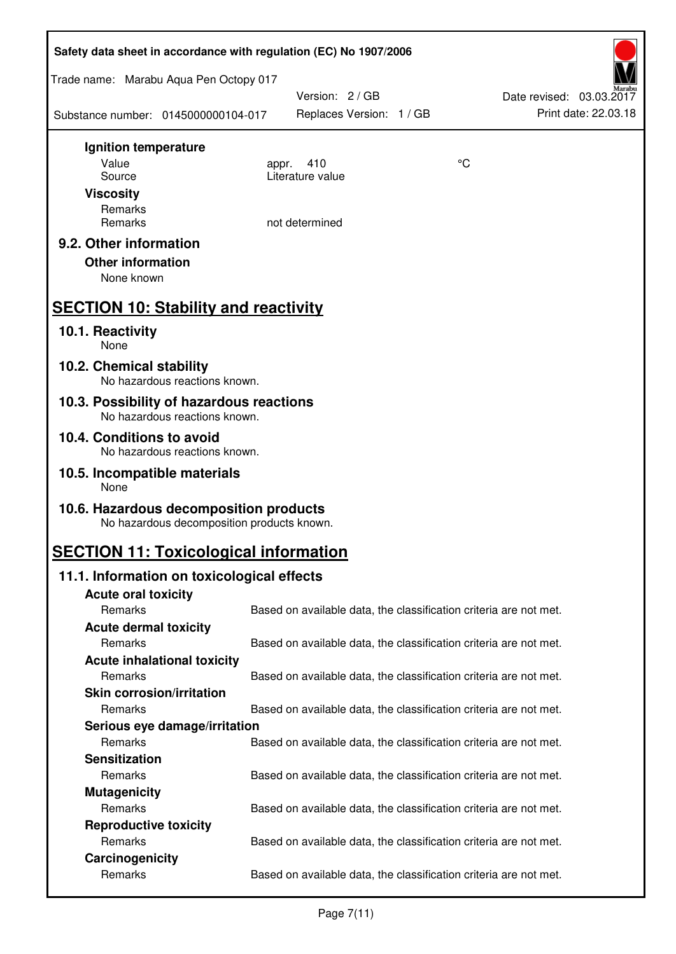| Safety data sheet in accordance with regulation (EC) No 1907/2006                    |                                                                   |    |                                                  |  |  |
|--------------------------------------------------------------------------------------|-------------------------------------------------------------------|----|--------------------------------------------------|--|--|
| Trade name: Marabu Aqua Pen Octopy 017                                               |                                                                   |    |                                                  |  |  |
| Substance number: 0145000000104-017                                                  | Version: 2 / GB<br>Replaces Version: 1 / GB                       |    | Date revised: 03.03.2017<br>Print date: 22.03.18 |  |  |
| Ignition temperature                                                                 |                                                                   |    |                                                  |  |  |
| Value<br>Source                                                                      | 410<br>appr.<br>Literature value                                  | °C |                                                  |  |  |
| <b>Viscosity</b>                                                                     |                                                                   |    |                                                  |  |  |
| Remarks                                                                              |                                                                   |    |                                                  |  |  |
| Remarks                                                                              | not determined                                                    |    |                                                  |  |  |
| 9.2. Other information                                                               |                                                                   |    |                                                  |  |  |
| <b>Other information</b>                                                             |                                                                   |    |                                                  |  |  |
| None known                                                                           |                                                                   |    |                                                  |  |  |
| <b>SECTION 10: Stability and reactivity</b>                                          |                                                                   |    |                                                  |  |  |
| 10.1. Reactivity<br>None                                                             |                                                                   |    |                                                  |  |  |
| 10.2. Chemical stability<br>No hazardous reactions known.                            |                                                                   |    |                                                  |  |  |
| 10.3. Possibility of hazardous reactions<br>No hazardous reactions known.            |                                                                   |    |                                                  |  |  |
| 10.4. Conditions to avoid<br>No hazardous reactions known.                           |                                                                   |    |                                                  |  |  |
| 10.5. Incompatible materials<br>None                                                 |                                                                   |    |                                                  |  |  |
| 10.6. Hazardous decomposition products<br>No hazardous decomposition products known. |                                                                   |    |                                                  |  |  |
| <b>SECTION 11: Toxicological information</b>                                         |                                                                   |    |                                                  |  |  |
| 11.1. Information on toxicological effects                                           |                                                                   |    |                                                  |  |  |
| <b>Acute oral toxicity</b>                                                           |                                                                   |    |                                                  |  |  |
| Remarks                                                                              | Based on available data, the classification criteria are not met. |    |                                                  |  |  |
| <b>Acute dermal toxicity</b>                                                         |                                                                   |    |                                                  |  |  |
| Remarks                                                                              | Based on available data, the classification criteria are not met. |    |                                                  |  |  |
| <b>Acute inhalational toxicity</b>                                                   |                                                                   |    |                                                  |  |  |
| Remarks                                                                              | Based on available data, the classification criteria are not met. |    |                                                  |  |  |
| <b>Skin corrosion/irritation</b>                                                     |                                                                   |    |                                                  |  |  |
| Remarks                                                                              | Based on available data, the classification criteria are not met. |    |                                                  |  |  |
| Serious eye damage/irritation<br>Remarks                                             | Based on available data, the classification criteria are not met. |    |                                                  |  |  |
| <b>Sensitization</b>                                                                 |                                                                   |    |                                                  |  |  |
| Remarks                                                                              | Based on available data, the classification criteria are not met. |    |                                                  |  |  |
| <b>Mutagenicity</b>                                                                  |                                                                   |    |                                                  |  |  |
| Remarks                                                                              | Based on available data, the classification criteria are not met. |    |                                                  |  |  |
| <b>Reproductive toxicity</b>                                                         |                                                                   |    |                                                  |  |  |
| Remarks                                                                              | Based on available data, the classification criteria are not met. |    |                                                  |  |  |
| Carcinogenicity                                                                      |                                                                   |    |                                                  |  |  |
| Remarks                                                                              | Based on available data, the classification criteria are not met. |    |                                                  |  |  |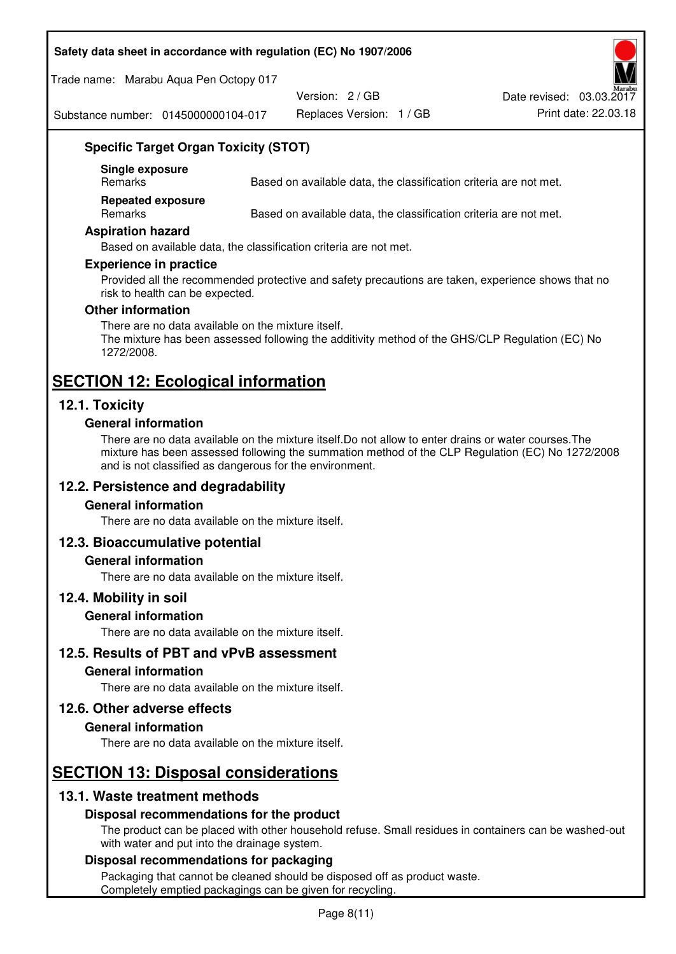#### **Safety data sheet in accordance with regulation (EC) No 1907/2006**

Trade name: Marabu Aqua Pen Octopy 017

Version: 2 / GB

Replaces Version: 1 / GB Print date: 22.03.18 Date revised: 03.03.2017

Substance number: 0145000000104-017

## **Specific Target Organ Toxicity (STOT)**

**Single exposure** 

Based on available data, the classification criteria are not met.

**Repeated exposure** 

Remarks Based on available data, the classification criteria are not met.

#### **Aspiration hazard**

Based on available data, the classification criteria are not met.

#### **Experience in practice**

Provided all the recommended protective and safety precautions are taken, experience shows that no risk to health can be expected.

#### **Other information**

There are no data available on the mixture itself. The mixture has been assessed following the additivity method of the GHS/CLP Regulation (EC) No 1272/2008.

# **SECTION 12: Ecological information**

## **12.1. Toxicity**

#### **General information**

There are no data available on the mixture itself.Do not allow to enter drains or water courses.The mixture has been assessed following the summation method of the CLP Regulation (EC) No 1272/2008 and is not classified as dangerous for the environment.

## **12.2. Persistence and degradability**

#### **General information**

There are no data available on the mixture itself.

#### **12.3. Bioaccumulative potential**

#### **General information**

There are no data available on the mixture itself.

#### **12.4. Mobility in soil**

#### **General information**

There are no data available on the mixture itself.

#### **12.5. Results of PBT and vPvB assessment**

#### **General information**

There are no data available on the mixture itself.

#### **12.6. Other adverse effects**

#### **General information**

There are no data available on the mixture itself.

## **SECTION 13: Disposal considerations**

## **13.1. Waste treatment methods**

#### **Disposal recommendations for the product**

The product can be placed with other household refuse. Small residues in containers can be washed-out with water and put into the drainage system.

#### **Disposal recommendations for packaging**

Packaging that cannot be cleaned should be disposed off as product waste. Completely emptied packagings can be given for recycling.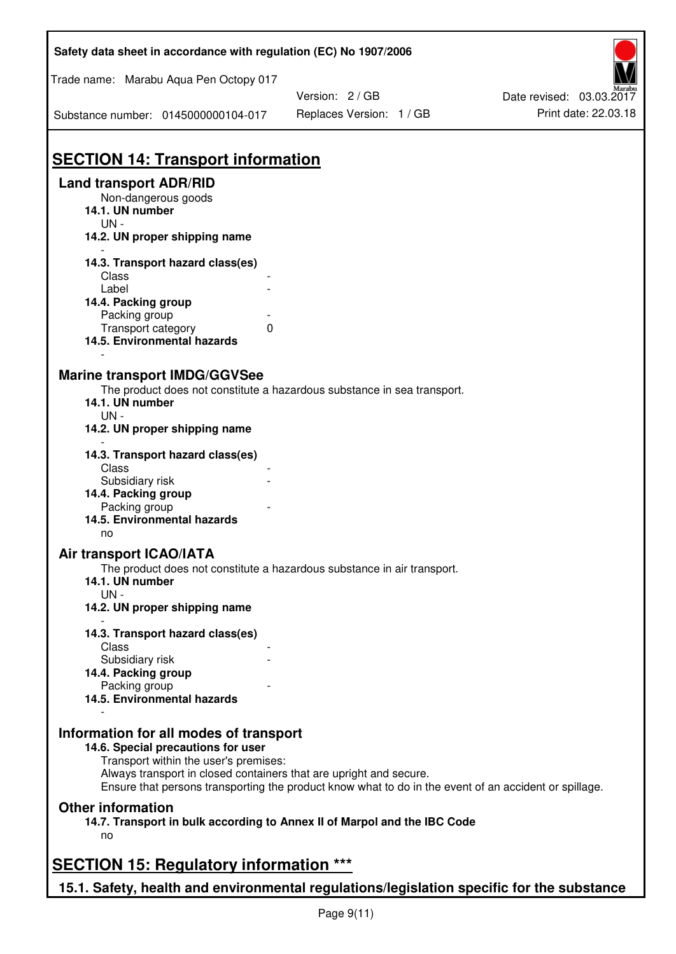| Safety data sheet in accordance with regulation (EC) No 1907/2006                                                                                                                                                                                                                                    |                          |                          |  |  |
|------------------------------------------------------------------------------------------------------------------------------------------------------------------------------------------------------------------------------------------------------------------------------------------------------|--------------------------|--------------------------|--|--|
| Trade name: Marabu Aqua Pen Octopy 017                                                                                                                                                                                                                                                               |                          |                          |  |  |
|                                                                                                                                                                                                                                                                                                      | Version: 2 / GB          | Date revised: 03.03.2017 |  |  |
| Substance number: 0145000000104-017                                                                                                                                                                                                                                                                  | Replaces Version: 1 / GB | Print date: 22.03.18     |  |  |
| <b>SECTION 14: Transport information</b>                                                                                                                                                                                                                                                             |                          |                          |  |  |
| <b>Land transport ADR/RID</b>                                                                                                                                                                                                                                                                        |                          |                          |  |  |
| Non-dangerous goods<br>14.1. UN number<br>$UN -$                                                                                                                                                                                                                                                     |                          |                          |  |  |
| 14.2. UN proper shipping name                                                                                                                                                                                                                                                                        |                          |                          |  |  |
| 14.3. Transport hazard class(es)                                                                                                                                                                                                                                                                     |                          |                          |  |  |
| Class                                                                                                                                                                                                                                                                                                |                          |                          |  |  |
| Label                                                                                                                                                                                                                                                                                                |                          |                          |  |  |
| 14.4. Packing group                                                                                                                                                                                                                                                                                  |                          |                          |  |  |
| Packing group                                                                                                                                                                                                                                                                                        |                          |                          |  |  |
| Transport category<br>0<br>14.5. Environmental hazards                                                                                                                                                                                                                                               |                          |                          |  |  |
| <b>Marine transport IMDG/GGVSee</b><br>The product does not constitute a hazardous substance in sea transport.<br>14.1. UN number<br>$UN -$<br>14.2. UN proper shipping name                                                                                                                         |                          |                          |  |  |
| 14.3. Transport hazard class(es)<br>Class                                                                                                                                                                                                                                                            |                          |                          |  |  |
| Subsidiary risk                                                                                                                                                                                                                                                                                      |                          |                          |  |  |
| 14.4. Packing group                                                                                                                                                                                                                                                                                  |                          |                          |  |  |
| Packing group                                                                                                                                                                                                                                                                                        |                          |                          |  |  |
| 14.5. Environmental hazards<br>no                                                                                                                                                                                                                                                                    |                          |                          |  |  |
| Air transport ICAO/IATA                                                                                                                                                                                                                                                                              |                          |                          |  |  |
| The product does not constitute a hazardous substance in air transport.<br>14.1. UN number<br>$UN -$                                                                                                                                                                                                 |                          |                          |  |  |
| 14.2. UN proper shipping name                                                                                                                                                                                                                                                                        |                          |                          |  |  |
| 14.3. Transport hazard class(es)                                                                                                                                                                                                                                                                     |                          |                          |  |  |
| Class                                                                                                                                                                                                                                                                                                |                          |                          |  |  |
| Subsidiary risk                                                                                                                                                                                                                                                                                      |                          |                          |  |  |
| 14.4. Packing group<br>Packing group                                                                                                                                                                                                                                                                 |                          |                          |  |  |
| 14.5. Environmental hazards                                                                                                                                                                                                                                                                          |                          |                          |  |  |
| Information for all modes of transport<br>14.6. Special precautions for user<br>Transport within the user's premises:<br>Always transport in closed containers that are upright and secure.<br>Ensure that persons transporting the product know what to do in the event of an accident or spillage. |                          |                          |  |  |
| <b>Other information</b><br>14.7. Transport in bulk according to Annex II of Marpol and the IBC Code<br>no                                                                                                                                                                                           |                          |                          |  |  |
| <b>SECTION 15: Regulatory information ***</b>                                                                                                                                                                                                                                                        |                          |                          |  |  |
|                                                                                                                                                                                                                                                                                                      |                          |                          |  |  |
| 15.1. Safety, health and environmental regulations/legislation specific for the substance                                                                                                                                                                                                            |                          |                          |  |  |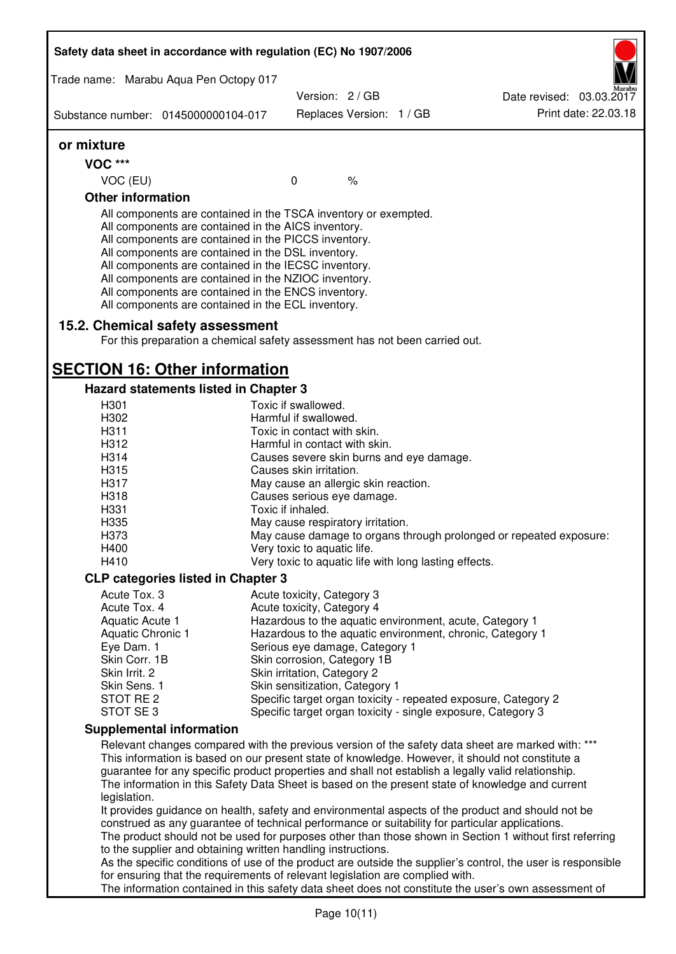| Safety data sheet in accordance with regulation (EC) No 1907/2006                                                                                                                                                       |                                                                                                                                                                                                                                                                                                                                                                                                                                                                   |                                                               |                          |  |                                                                                                   |
|-------------------------------------------------------------------------------------------------------------------------------------------------------------------------------------------------------------------------|-------------------------------------------------------------------------------------------------------------------------------------------------------------------------------------------------------------------------------------------------------------------------------------------------------------------------------------------------------------------------------------------------------------------------------------------------------------------|---------------------------------------------------------------|--------------------------|--|---------------------------------------------------------------------------------------------------|
|                                                                                                                                                                                                                         | Trade name: Marabu Aqua Pen Octopy 017                                                                                                                                                                                                                                                                                                                                                                                                                            |                                                               |                          |  |                                                                                                   |
|                                                                                                                                                                                                                         |                                                                                                                                                                                                                                                                                                                                                                                                                                                                   | Version: 2 / GB                                               |                          |  | Date revised: 03.03.2017                                                                          |
|                                                                                                                                                                                                                         | Substance number: 0145000000104-017                                                                                                                                                                                                                                                                                                                                                                                                                               |                                                               | Replaces Version: 1 / GB |  | Print date: 22.03.18                                                                              |
| or mixture                                                                                                                                                                                                              |                                                                                                                                                                                                                                                                                                                                                                                                                                                                   |                                                               |                          |  |                                                                                                   |
| <b>VOC ***</b>                                                                                                                                                                                                          |                                                                                                                                                                                                                                                                                                                                                                                                                                                                   |                                                               |                          |  |                                                                                                   |
| VOC (EU)                                                                                                                                                                                                                |                                                                                                                                                                                                                                                                                                                                                                                                                                                                   | $\mathbf 0$                                                   | $\%$                     |  |                                                                                                   |
| <b>Other information</b>                                                                                                                                                                                                |                                                                                                                                                                                                                                                                                                                                                                                                                                                                   |                                                               |                          |  |                                                                                                   |
|                                                                                                                                                                                                                         | All components are contained in the TSCA inventory or exempted.<br>All components are contained in the AICS inventory.<br>All components are contained in the PICCS inventory.<br>All components are contained in the DSL inventory.<br>All components are contained in the IECSC inventory.<br>All components are contained in the NZIOC inventory.<br>All components are contained in the ENCS inventory.<br>All components are contained in the ECL inventory. |                                                               |                          |  |                                                                                                   |
|                                                                                                                                                                                                                         | 15.2. Chemical safety assessment<br>For this preparation a chemical safety assessment has not been carried out.                                                                                                                                                                                                                                                                                                                                                   |                                                               |                          |  |                                                                                                   |
|                                                                                                                                                                                                                         | <b>SECTION 16: Other information</b>                                                                                                                                                                                                                                                                                                                                                                                                                              |                                                               |                          |  |                                                                                                   |
|                                                                                                                                                                                                                         | Hazard statements listed in Chapter 3                                                                                                                                                                                                                                                                                                                                                                                                                             |                                                               |                          |  |                                                                                                   |
| H301                                                                                                                                                                                                                    |                                                                                                                                                                                                                                                                                                                                                                                                                                                                   | Toxic if swallowed.                                           |                          |  |                                                                                                   |
| H302                                                                                                                                                                                                                    |                                                                                                                                                                                                                                                                                                                                                                                                                                                                   | Harmful if swallowed.                                         |                          |  |                                                                                                   |
| H311<br>H312                                                                                                                                                                                                            |                                                                                                                                                                                                                                                                                                                                                                                                                                                                   | Toxic in contact with skin.<br>Harmful in contact with skin.  |                          |  |                                                                                                   |
| H314                                                                                                                                                                                                                    |                                                                                                                                                                                                                                                                                                                                                                                                                                                                   | Causes severe skin burns and eye damage.                      |                          |  |                                                                                                   |
| H315                                                                                                                                                                                                                    |                                                                                                                                                                                                                                                                                                                                                                                                                                                                   | Causes skin irritation.                                       |                          |  |                                                                                                   |
| H317                                                                                                                                                                                                                    |                                                                                                                                                                                                                                                                                                                                                                                                                                                                   | May cause an allergic skin reaction.                          |                          |  |                                                                                                   |
| H318                                                                                                                                                                                                                    |                                                                                                                                                                                                                                                                                                                                                                                                                                                                   | Causes serious eye damage.                                    |                          |  |                                                                                                   |
| H331                                                                                                                                                                                                                    |                                                                                                                                                                                                                                                                                                                                                                                                                                                                   | Toxic if inhaled.                                             |                          |  |                                                                                                   |
| H335                                                                                                                                                                                                                    |                                                                                                                                                                                                                                                                                                                                                                                                                                                                   | May cause respiratory irritation.                             |                          |  |                                                                                                   |
| H373                                                                                                                                                                                                                    |                                                                                                                                                                                                                                                                                                                                                                                                                                                                   |                                                               |                          |  | May cause damage to organs through prolonged or repeated exposure:                                |
| H400                                                                                                                                                                                                                    |                                                                                                                                                                                                                                                                                                                                                                                                                                                                   | Very toxic to aquatic life.                                   |                          |  |                                                                                                   |
| H410                                                                                                                                                                                                                    |                                                                                                                                                                                                                                                                                                                                                                                                                                                                   | Very toxic to aquatic life with long lasting effects.         |                          |  |                                                                                                   |
| <b>CLP categories listed in Chapter 3</b>                                                                                                                                                                               |                                                                                                                                                                                                                                                                                                                                                                                                                                                                   |                                                               |                          |  |                                                                                                   |
| Acute Tox. 3                                                                                                                                                                                                            |                                                                                                                                                                                                                                                                                                                                                                                                                                                                   | Acute toxicity, Category 3                                    |                          |  |                                                                                                   |
| Acute Tox. 4                                                                                                                                                                                                            |                                                                                                                                                                                                                                                                                                                                                                                                                                                                   | Acute toxicity, Category 4                                    |                          |  |                                                                                                   |
| Aquatic Acute 1                                                                                                                                                                                                         |                                                                                                                                                                                                                                                                                                                                                                                                                                                                   |                                                               |                          |  | Hazardous to the aquatic environment, acute, Category 1                                           |
| Aquatic Chronic 1                                                                                                                                                                                                       |                                                                                                                                                                                                                                                                                                                                                                                                                                                                   |                                                               |                          |  | Hazardous to the aquatic environment, chronic, Category 1                                         |
| Eye Dam. 1                                                                                                                                                                                                              |                                                                                                                                                                                                                                                                                                                                                                                                                                                                   | Serious eye damage, Category 1                                |                          |  |                                                                                                   |
| Skin Corr. 1B<br>Skin Irrit. 2                                                                                                                                                                                          |                                                                                                                                                                                                                                                                                                                                                                                                                                                                   | Skin corrosion, Category 1B                                   |                          |  |                                                                                                   |
| Skin Sens. 1                                                                                                                                                                                                            |                                                                                                                                                                                                                                                                                                                                                                                                                                                                   | Skin irritation, Category 2<br>Skin sensitization, Category 1 |                          |  |                                                                                                   |
| STOT RE <sub>2</sub>                                                                                                                                                                                                    |                                                                                                                                                                                                                                                                                                                                                                                                                                                                   |                                                               |                          |  | Specific target organ toxicity - repeated exposure, Category 2                                    |
| STOT SE 3                                                                                                                                                                                                               |                                                                                                                                                                                                                                                                                                                                                                                                                                                                   |                                                               |                          |  | Specific target organ toxicity - single exposure, Category 3                                      |
| <b>Supplemental information</b>                                                                                                                                                                                         |                                                                                                                                                                                                                                                                                                                                                                                                                                                                   |                                                               |                          |  |                                                                                                   |
| Relevant changes compared with the previous version of the safety data sheet are marked with: ***                                                                                                                       |                                                                                                                                                                                                                                                                                                                                                                                                                                                                   |                                                               |                          |  |                                                                                                   |
|                                                                                                                                                                                                                         | This information is based on our present state of knowledge. However, it should not constitute a                                                                                                                                                                                                                                                                                                                                                                  |                                                               |                          |  |                                                                                                   |
| guarantee for any specific product properties and shall not establish a legally valid relationship.<br>The information in this Safety Data Sheet is based on the present state of knowledge and current<br>legislation. |                                                                                                                                                                                                                                                                                                                                                                                                                                                                   |                                                               |                          |  |                                                                                                   |
|                                                                                                                                                                                                                         |                                                                                                                                                                                                                                                                                                                                                                                                                                                                   |                                                               |                          |  | It provides guidance on health, safety and environmental aspects of the product and should not be |
|                                                                                                                                                                                                                         | construed as any guarantee of technical performance or suitability for particular applications.                                                                                                                                                                                                                                                                                                                                                                   |                                                               |                          |  |                                                                                                   |
|                                                                                                                                                                                                                         | The product should not be used for purposes other than those shown in Section 1 without first referring                                                                                                                                                                                                                                                                                                                                                           |                                                               |                          |  |                                                                                                   |
| to the supplier and obtaining written handling instructions.                                                                                                                                                            |                                                                                                                                                                                                                                                                                                                                                                                                                                                                   |                                                               |                          |  |                                                                                                   |
| As the specific conditions of use of the product are outside the supplier's control, the user is responsible<br>for ensuring that the requirements of relevant legislation are complied with.                           |                                                                                                                                                                                                                                                                                                                                                                                                                                                                   |                                                               |                          |  |                                                                                                   |
|                                                                                                                                                                                                                         | The information contained in this safety data sheet does not constitute the user's own assessment of                                                                                                                                                                                                                                                                                                                                                              |                                                               |                          |  |                                                                                                   |